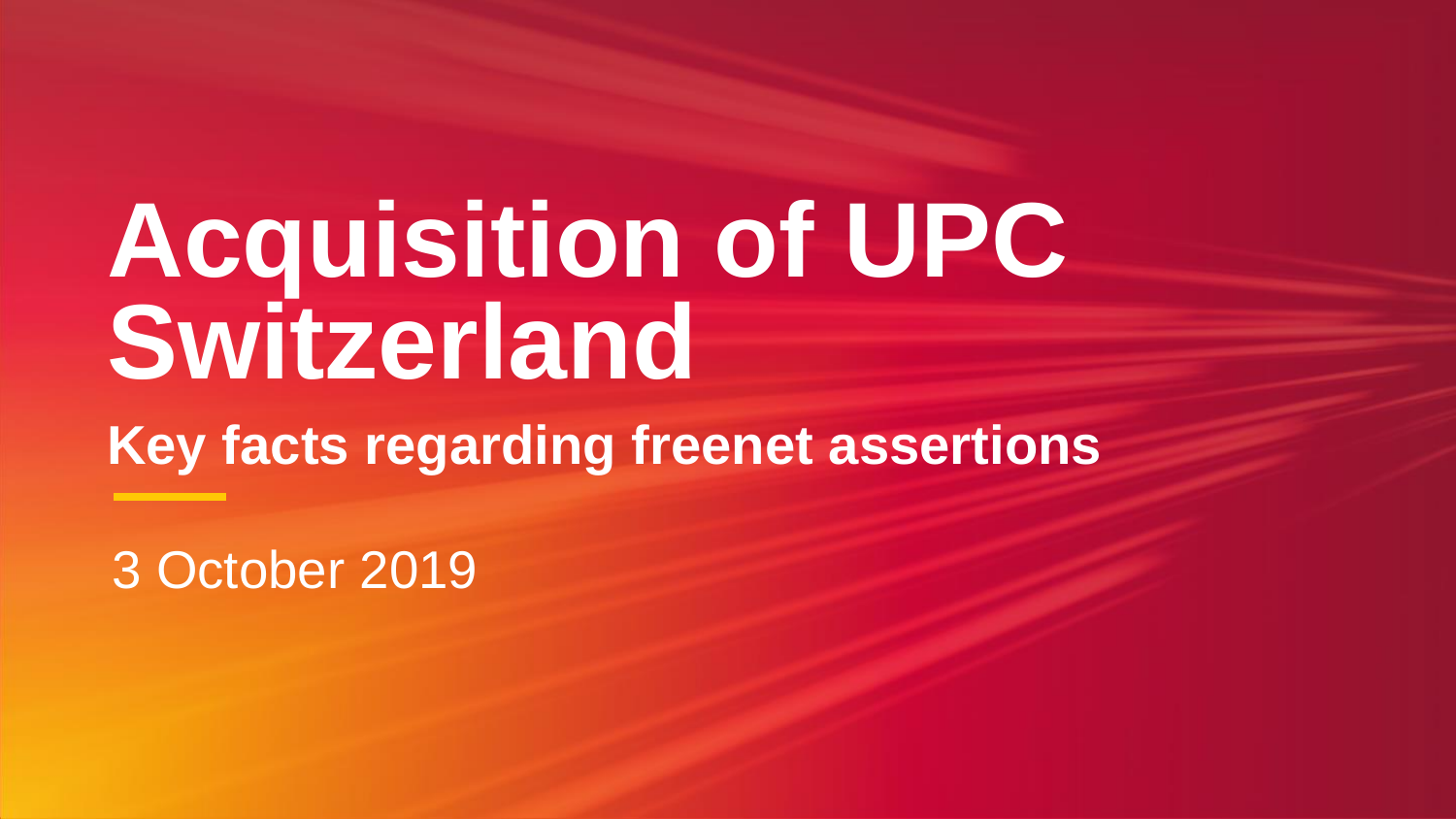16 May 2019 3 October 2019

# **Acquisition of UPC** Switzerland **Key facts regarding freenet assertions**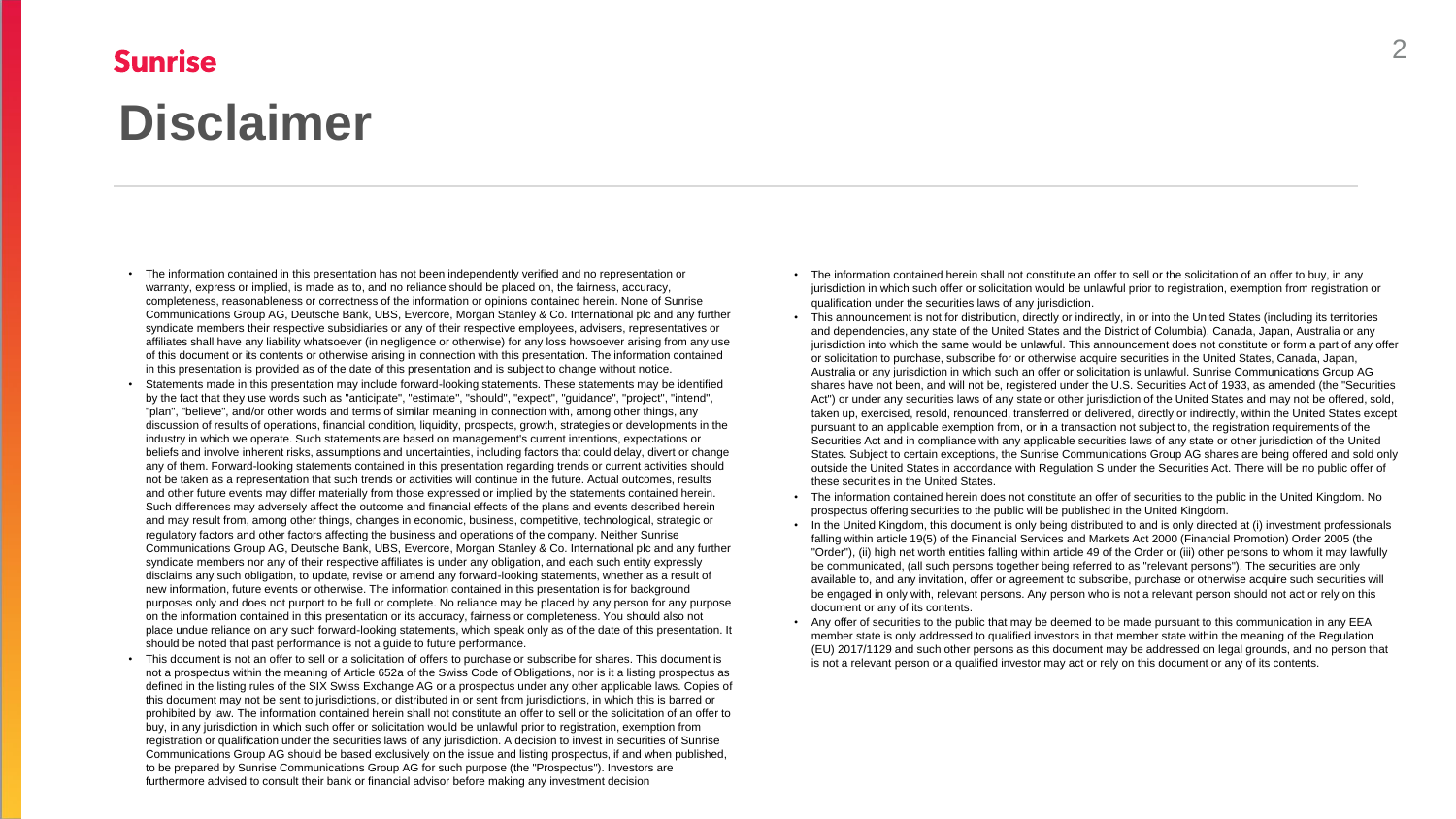#### **Sunrise**

# **Disclaimer**

- The information contained in this presentation has not been independently verified and no representation or warranty, express or implied, is made as to, and no reliance should be placed on, the fairness, accuracy, completeness, reasonableness or correctness of the information or opinions contained herein. None of Sunrise Communications Group AG, Deutsche Bank, UBS, Evercore, Morgan Stanley & Co. International plc and any further syndicate members their respective subsidiaries or any of their respective employees, advisers, representatives or affiliates shall have any liability whatsoever (in negligence or otherwise) for any loss howsoever arising from any use of this document or its contents or otherwise arising in connection with this presentation. The information contained in this presentation is provided as of the date of this presentation and is subject to change without notice.
- Statements made in this presentation may include forward-looking statements. These statements may be identified by the fact that they use words such as "anticipate", "estimate", "should", "expect", "guidance", "project", "intend", "plan", "believe", and/or other words and terms of similar meaning in connection with, among other things, any discussion of results of operations, financial condition, liquidity, prospects, growth, strategies or developments in the industry in which we operate. Such statements are based on management's current intentions, expectations or beliefs and involve inherent risks, assumptions and uncertainties, including factors that could delay, divert or change any of them. Forward-looking statements contained in this presentation regarding trends or current activities should not be taken as a representation that such trends or activities will continue in the future. Actual outcomes, results and other future events may differ materially from those expressed or implied by the statements contained herein. Such differences may adversely affect the outcome and financial effects of the plans and events described herein and may result from, among other things, changes in economic, business, competitive, technological, strategic or regulatory factors and other factors affecting the business and operations of the company. Neither Sunrise Communications Group AG, Deutsche Bank, UBS, Evercore, Morgan Stanley & Co. International plc and any further syndicate members nor any of their respective affiliates is under any obligation, and each such entity expressly disclaims any such obligation, to update, revise or amend any forward-looking statements, whether as a result of new information, future events or otherwise. The information contained in this presentation is for background purposes only and does not purport to be full or complete. No reliance may be placed by any person for any purpose on the information contained in this presentation or its accuracy, fairness or completeness. You should also not place undue reliance on any such forward-looking statements, which speak only as of the date of this presentation. It should be noted that past performance is not a guide to future performance.
- This document is not an offer to sell or a solicitation of offers to purchase or subscribe for shares. This document is not a prospectus within the meaning of Article 652a of the Swiss Code of Obligations, nor is it a listing prospectus as defined in the listing rules of the SIX Swiss Exchange AG or a prospectus under any other applicable laws. Copies of this document may not be sent to jurisdictions, or distributed in or sent from jurisdictions, in which this is barred or prohibited by law. The information contained herein shall not constitute an offer to sell or the solicitation of an offer to buy, in any jurisdiction in which such offer or solicitation would be unlawful prior to registration, exemption from registration or qualification under the securities laws of any jurisdiction. A decision to invest in securities of Sunrise Communications Group AG should be based exclusively on the issue and listing prospectus, if and when published, to be prepared by Sunrise Communications Group AG for such purpose (the "Prospectus"). Investors are furthermore advised to consult their bank or financial advisor before making any investment decision
- 
- 
- The information contained herein shall not constitute an offer to sell or the solicitation of an offer to buy, in any jurisdiction in which such offer or solicitation would be unlawful prior to registration, exemption from registration or qualification under the securities laws of any jurisdiction.
- This announcement is not for distribution, directly or indirectly, in or into the United States (including its territories and dependencies, any state of the United States and the District of Columbia), Canada, Japan, Australia or any jurisdiction into which the same would be unlawful. This announcement does not constitute or form a part of any offer or solicitation to purchase, subscribe for or otherwise acquire securities in the United States, Canada, Japan, Australia or any jurisdiction in which such an offer or solicitation is unlawful. Sunrise Communications Group AG shares have not been, and will not be, registered under the U.S. Securities Act of 1933, as amended (the "Securities Act") or under any securities laws of any state or other jurisdiction of the United States and may not be offered, sold, taken up, exercised, resold, renounced, transferred or delivered, directly or indirectly, within the United States except pursuant to an applicable exemption from, or in a transaction not subject to, the registration requirements of the Securities Act and in compliance with any applicable securities laws of any state or other jurisdiction of the United States. Subject to certain exceptions, the Sunrise Communications Group AG shares are being offered and sold only outside the United States in accordance with Regulation S under the Securities Act. There will be no public offer of these securities in the United States.
- The information contained herein does not constitute an offer of securities to the public in the United Kingdom. No prospectus offering securities to the public will be published in the United Kingdom.
- In the United Kingdom, this document is only being distributed to and is only directed at (i) investment professionals falling within article 19(5) of the Financial Services and Markets Act 2000 (Financial Promotion) Order 2005 (the "Order"), (ii) high net worth entities falling within article 49 of the Order or (iii) other persons to whom it may lawfully be communicated, (all such persons together being referred to as "relevant persons"). The securities are only available to, and any invitation, offer or agreement to subscribe, purchase or otherwise acquire such securities will be engaged in only with, relevant persons. Any person who is not a relevant person should not act or rely on this document or any of its contents.
- Any offer of securities to the public that may be deemed to be made pursuant to this communication in any EEA member state is only addressed to qualified investors in that member state within the meaning of the Regulation (EU) 2017/1129 and such other persons as this document may be addressed on legal grounds, and no person that is not a relevant person or a qualified investor may act or rely on this document or any of its contents.

2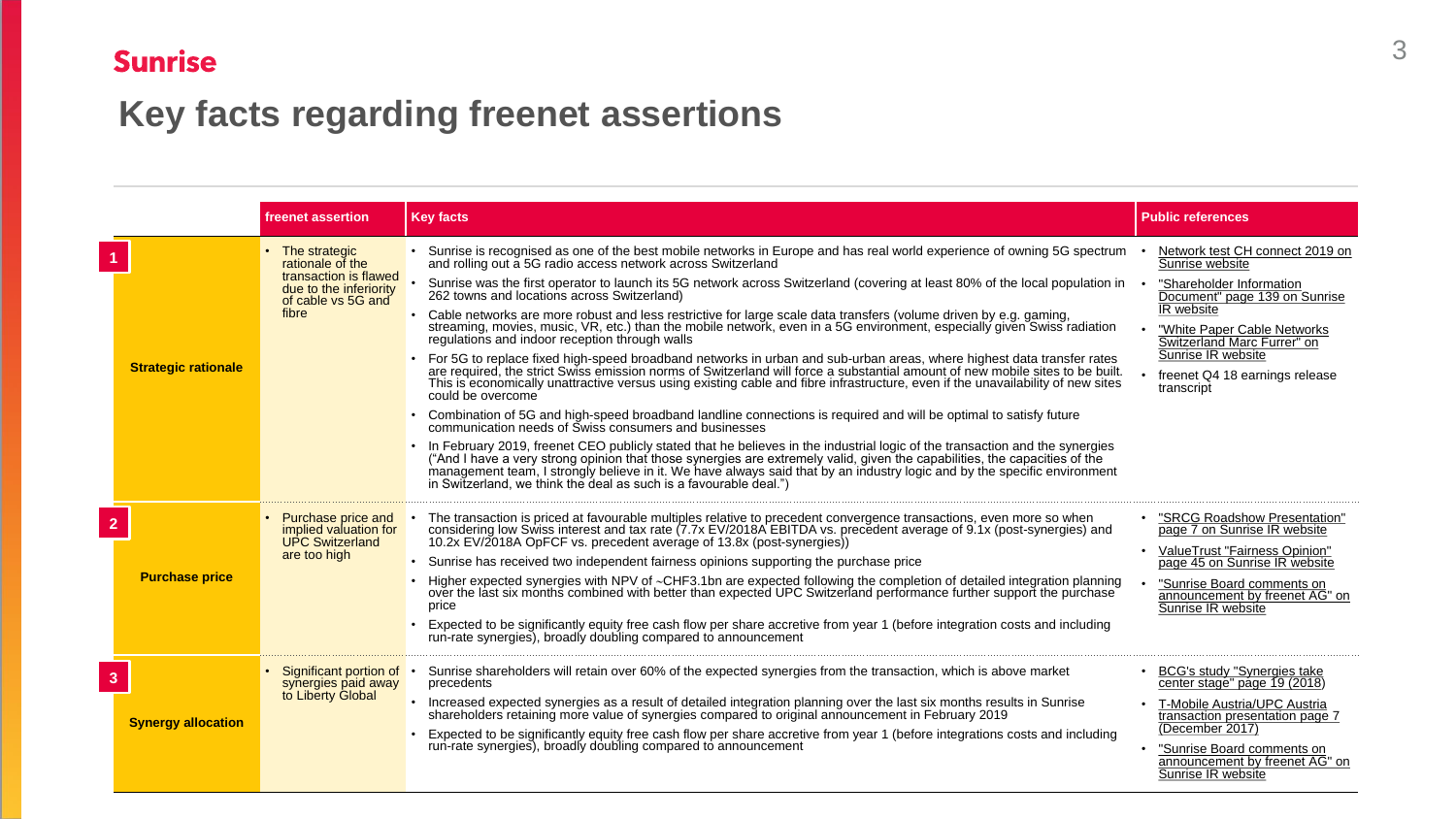

### Sunrise

## **Key facts regarding freenet assertions**

|                |                            | <b>freenet assertion</b>                                                                                            | <b>Key facts</b>                                                                                                                                                                                                                                                                                                                                                                                                                                                                                                                                                                                                                                                                                                                                                                                                                                                                                                                                                                                                                                                                                                                                                                                                                                                                                                                                                                                                                                                                                                                                                                                                                                                                                                | <b>Public references</b>                                                                                                                                                                                                                                          |
|----------------|----------------------------|---------------------------------------------------------------------------------------------------------------------|-----------------------------------------------------------------------------------------------------------------------------------------------------------------------------------------------------------------------------------------------------------------------------------------------------------------------------------------------------------------------------------------------------------------------------------------------------------------------------------------------------------------------------------------------------------------------------------------------------------------------------------------------------------------------------------------------------------------------------------------------------------------------------------------------------------------------------------------------------------------------------------------------------------------------------------------------------------------------------------------------------------------------------------------------------------------------------------------------------------------------------------------------------------------------------------------------------------------------------------------------------------------------------------------------------------------------------------------------------------------------------------------------------------------------------------------------------------------------------------------------------------------------------------------------------------------------------------------------------------------------------------------------------------------------------------------------------------------|-------------------------------------------------------------------------------------------------------------------------------------------------------------------------------------------------------------------------------------------------------------------|
|                | <b>Strategic rationale</b> | The strategic<br>rationale of the<br>transaction is flawed<br>due to the inferiority<br>of cable vs 5G and<br>fibre | Sunrise is recognised as one of the best mobile networks in Europe and has real world experience of owning 5G spectrum<br>and rolling out a 5G radio access network across Switzerland<br>Sunrise was the first operator to launch its 5G network across Switzerland (covering at least 80% of the local population in<br>262 towns and locations across Switzerland)<br>Cable networks are more robust and less restrictive for large scale data transfers (volume driven by e.g. gaming,<br>streaming, movies, music, VR, etc.) than the mobile network, even in a 5G environment, especially given Swiss radiation<br>regulations and indoor reception through walls<br>• For 5G to replace fixed high-speed broadband networks in urban and sub-urban areas, where highest data transfer rates<br>are required, the strict Swiss emission norms of Switzerland will force a substantial amount of new mobile sites to be built.<br>This is economically unattractive versus using existing cable and fibre infrastructure, even if the unavailability of new sites<br>could be overcome<br>Combination of 5G and high-speed broadband landline connections is required and will be optimal to satisfy future<br>communication needs of Swiss consumers and businesses<br>In February 2019, freenet CEO publicly stated that he believes in the industrial logic of the transaction and the synergies<br>"And I have a very strong opinion that those synergies are extremely valid, given the capabilities<br>management team, I strongly believe in it. We have always said that by an industry logic and by the specific environment<br>in Switzerland, we think the deal as such is a favourable deal.") | Network test CH connect 2019 on<br>Sunrise website<br>"Shareholder Information<br>Document" page 139 on Sunrise<br>IR website<br>"White Paper Cable Networks<br>Switzerland Marc Furrer" on<br>Sunrise IR website<br>freenet Q4 18 earnings release<br>transcript |
| $\overline{2}$ | <b>Purchase price</b>      | <b>Purchase price and</b><br>implied valuation for<br><b>UPC Switzerland</b><br>are too high                        | The transaction is priced at favourable multiples relative to precedent convergence transactions, even more so when<br>considering low Swiss interest and tax rate (7.7x EV/2018A EBITDA vs. precedent average of 9.1x (post-synergies) and<br>10.2x EV/2018A OpFCF vs. precedent average of 13.8x (post-synergies))<br>Sunrise has received two independent fairness opinions supporting the purchase price<br>Higher expected synergies with NPV of ~CHF3.1bn are expected following the completion of detailed integration planning<br>over the last six months combined with better than expected UPC Switzerland performance further support the purchase<br>price<br>Expected to be significantly equity free cash flow per share accretive from year 1 (before integration costs and including<br>run-rate synergies), broadly doubling compared to announcement                                                                                                                                                                                                                                                                                                                                                                                                                                                                                                                                                                                                                                                                                                                                                                                                                                         | "SRCG Roadshow Presentation"<br>page 7 on Sunrise IR website<br>ValueTrust "Fairness Opinion"<br>page 45 on Sunrise IR website<br>"Sunrise Board comments on<br>announcement by freenet AG" on<br>Sunrise IR website                                              |
| 3              | <b>Synergy allocation</b>  | Significant portion of<br>synergies paid away<br>to Liberty Global                                                  | Sunrise shareholders will retain over 60% of the expected synergies from the transaction, which is above market<br>precedents<br>Increased expected synergies as a result of detailed integration planning over the last six months results in Sunrise<br>shareholders retaining more value of synergies compared to original announcement in February 2019<br>Expected to be significantly equity free cash flow per share accretive from year 1 (before integrations costs and including<br>run-rate synergies), broadly doubling compared to announcement                                                                                                                                                                                                                                                                                                                                                                                                                                                                                                                                                                                                                                                                                                                                                                                                                                                                                                                                                                                                                                                                                                                                                    | BCG's study "Synergies take"<br>center stage" page 19 (2018)<br><b>T-Mobile Austria/UPC Austria</b><br>transaction presentation page 7<br>(December 2017)<br>"Sunrise Board comments on<br>announcement by freenet AG" on<br>Sunrise IR website                   |